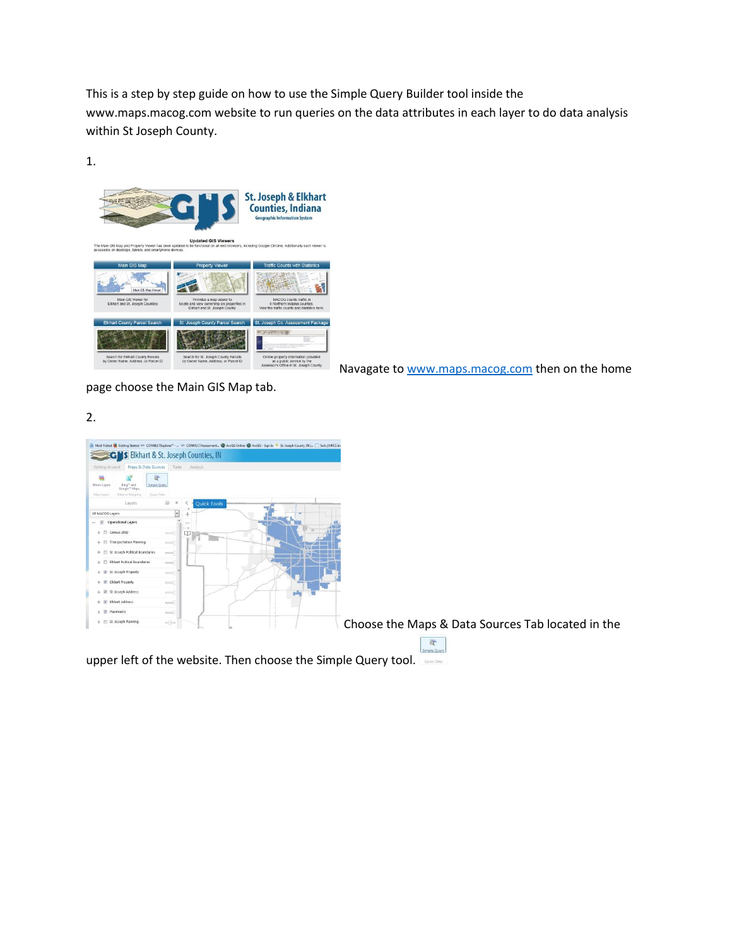This is a step by step guide on how to use the Simple Query Builder tool inside the www.maps.macog.com website to run queries on the data attributes in each layer to do data analysis within St Joseph County.



Navagate t[o www.maps.macog.com](http://www.maps.macog.com/) then on the home

page choose the Main GIS Map tab.

## 2.

| A Most Visited & Getting Started => CONNECTE/plore/" -  => CONNECTAssessment. @ ArcGIS Online @ ArcGIS - Sign In <sup>@</sup> St. Joseph County, IN  - [ ] Solis   NRCS Inc<br><b>CH's Elkhart &amp; St. Joseph Counties, IN</b>                                                                                                                                                                                                                                                                     |                                                   |
|------------------------------------------------------------------------------------------------------------------------------------------------------------------------------------------------------------------------------------------------------------------------------------------------------------------------------------------------------------------------------------------------------------------------------------------------------------------------------------------------------|---------------------------------------------------|
| Maps & Data Sources<br>Tasks Analysis<br>Getting Around                                                                                                                                                                                                                                                                                                                                                                                                                                              |                                                   |
| $\alpha$<br>Simple Query<br>Shows Layers<br>Bing <sup>36</sup> and<br>Google <sup>36</sup> Maps<br>Query Data<br>Mio Liven:<br>External Mapping                                                                                                                                                                                                                                                                                                                                                      |                                                   |
| Ħ.<br>$\times$<br><b>Quick Tools</b><br>Layers                                                                                                                                                                                                                                                                                                                                                                                                                                                       |                                                   |
| $\overline{\phantom{a}}$<br>All MACOG Layers                                                                                                                                                                                                                                                                                                                                                                                                                                                         |                                                   |
| Operational Layers<br>$\sim$<br>$\mathcal{F}$                                                                                                                                                                                                                                                                                                                                                                                                                                                        |                                                   |
| $+$ $\Box$ Census 2010<br>$\frac{1}{2} \left( \frac{1}{2} \right) \left( \frac{1}{2} \right) \left( \frac{1}{2} \right) \left( \frac{1}{2} \right) \left( \frac{1}{2} \right) \left( \frac{1}{2} \right) \left( \frac{1}{2} \right) \left( \frac{1}{2} \right) \left( \frac{1}{2} \right) \left( \frac{1}{2} \right) \left( \frac{1}{2} \right) \left( \frac{1}{2} \right) \left( \frac{1}{2} \right) \left( \frac{1}{2} \right) \left( \frac{1}{2} \right) \left( \frac{1}{2} \right) \left( \frac$ |                                                   |
| + Transportation Planning<br>$-1$                                                                                                                                                                                                                                                                                                                                                                                                                                                                    |                                                   |
| $+$ $\Box$ St. Joseph Political Boundaries                                                                                                                                                                                                                                                                                                                                                                                                                                                           |                                                   |
| $+$ $\Box$ Elishart Political Boundaries<br>$r = 1$                                                                                                                                                                                                                                                                                                                                                                                                                                                  |                                                   |
| + W St. Joseph Property<br>$\frac{1}{2}$                                                                                                                                                                                                                                                                                                                                                                                                                                                             |                                                   |
| $+$ $\overline{\mathscr{L}}$ Elishart Property<br>$-1$                                                                                                                                                                                                                                                                                                                                                                                                                                               |                                                   |
| + V St. Joseph Address<br>$\frac{1}{2}$                                                                                                                                                                                                                                                                                                                                                                                                                                                              |                                                   |
| + V Elkhart Address<br>$=$                                                                                                                                                                                                                                                                                                                                                                                                                                                                           |                                                   |
| $+$ $\mathbb{Z}$ Planimetric                                                                                                                                                                                                                                                                                                                                                                                                                                                                         |                                                   |
| $-1$                                                                                                                                                                                                                                                                                                                                                                                                                                                                                                 |                                                   |
| $+$ $\Box$ St. Joseph Planning<br>$\frac{1}{2}$                                                                                                                                                                                                                                                                                                                                                                                                                                                      | Choose the Maps & Data Sources Tab located in the |
|                                                                                                                                                                                                                                                                                                                                                                                                                                                                                                      |                                                   |
|                                                                                                                                                                                                                                                                                                                                                                                                                                                                                                      | ब                                                 |

upper left of the website. Then choose the Simple Query tool.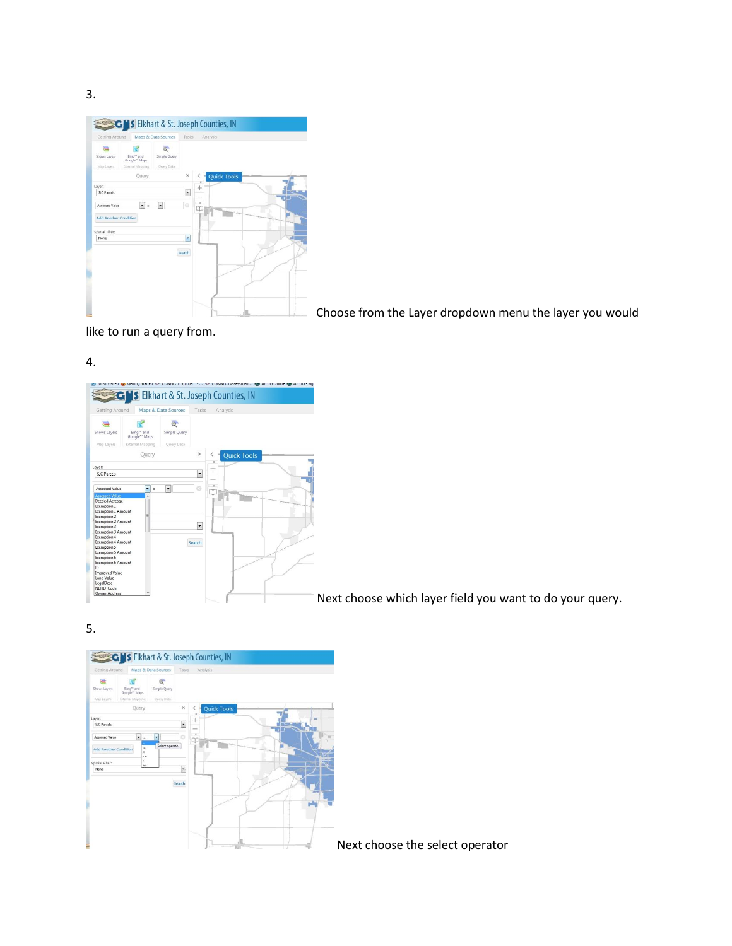3.

|                       | <b>GNS</b> Elkhart & St. Joseph Counties, IN<br>Maps & Data Sources<br>Getting Around<br>Bing <sup>to</sup> and<br>Google <sup>te</sup> Maps<br>External Mapping<br>Query<br>$\frac{1}{2}$<br>$\overline{\phantom{a}}$<br>Add Another Condition |              | Tasks                | Analysis                |
|-----------------------|-------------------------------------------------------------------------------------------------------------------------------------------------------------------------------------------------------------------------------------------------|--------------|----------------------|-------------------------|
| Shows Layers          |                                                                                                                                                                                                                                                 | Simple Query |                      |                         |
| Map Layers            |                                                                                                                                                                                                                                                 | Query Data   |                      |                         |
|                       |                                                                                                                                                                                                                                                 |              | $\times$             | <b>Quick Tools</b><br>< |
| Layer:                |                                                                                                                                                                                                                                                 |              |                      | $^{+}$                  |
| SIC Parcels           |                                                                                                                                                                                                                                                 |              | $\ddot{\phantom{0}}$ |                         |
| <b>Assessed Value</b> |                                                                                                                                                                                                                                                 |              | ø                    |                         |
|                       |                                                                                                                                                                                                                                                 |              |                      |                         |
|                       |                                                                                                                                                                                                                                                 |              |                      |                         |
| Spatial Filter:       |                                                                                                                                                                                                                                                 |              |                      |                         |
| None                  |                                                                                                                                                                                                                                                 |              | ٠                    |                         |
|                       |                                                                                                                                                                                                                                                 |              |                      |                         |
|                       |                                                                                                                                                                                                                                                 |              | Search               |                         |
|                       |                                                                                                                                                                                                                                                 |              |                      |                         |
|                       |                                                                                                                                                                                                                                                 |              |                      |                         |
|                       |                                                                                                                                                                                                                                                 |              |                      |                         |
|                       |                                                                                                                                                                                                                                                 |              |                      |                         |
|                       |                                                                                                                                                                                                                                                 |              |                      |                         |

Choose from the Layer dropdown menu the layer you would

like to run a query from.

4.



Next choose which layer field you want to do your query.

5.

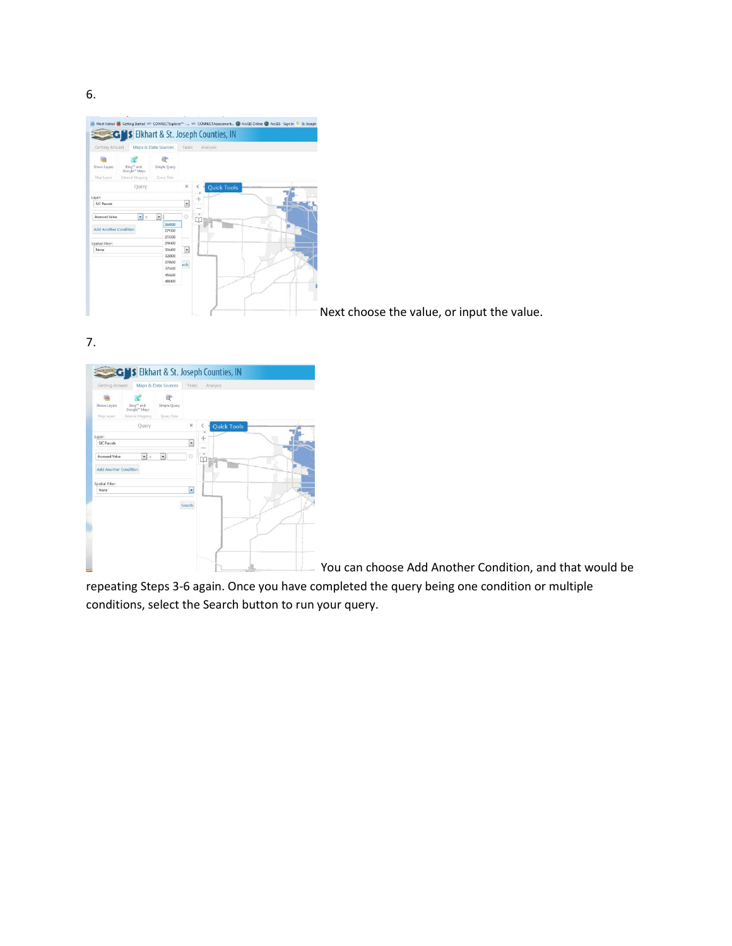iturted => CONNECTExplorer™ - ... => CONNECTAssessment... ● ArcGIS Online ● ArcGIS - Sign In ● St. Josepl **CH's** Elkhart & St. Joseph Counties, IN Maps & Data Sources Tasks ď  $\alpha$  $\equiv$ Simple Query Bing<sup>to</sup> and<br>Google<sup>to</sup> Maps Query Data Query Layer:<br>SJC Parcels  $^{+}$  $\overline{\phantom{a}}$  $\begin{array}{|c|c|c|} \hline \textbf{r} & \textbf{s} & \textbf{r} \\ \hline \textbf{r} & \textbf{r} & \textbf{r} \\ \hline \textbf{r} & \textbf{r} & \textbf{r} \\ \hline \textbf{r} & \textbf{r} & \textbf{r} \\ \textbf{r} & \textbf{r} & \textbf{r} \\ \textbf{r} & \textbf{r} & \textbf{r} \\ \textbf{r} & \textbf{r} & \textbf{r} \\ \textbf{r} & \textbf{r} & \textbf{r} \\ \textbf{r} & \textbf{r} & \textbf{r} \\ \textbf{r} &$ Assessed Value  $\frac{1}{1}$ Time Add Another Co Spatial Filter<br>None  $\overline{\mathbb{R}}$  $\mathsf{irch}\xspace$ 

Next choose the value, or input the value.

7.



You can choose Add Another Condition, and that would be

repeating Steps 3-6 again. Once you have completed the query being one condition or multiple conditions, select the Search button to run your query.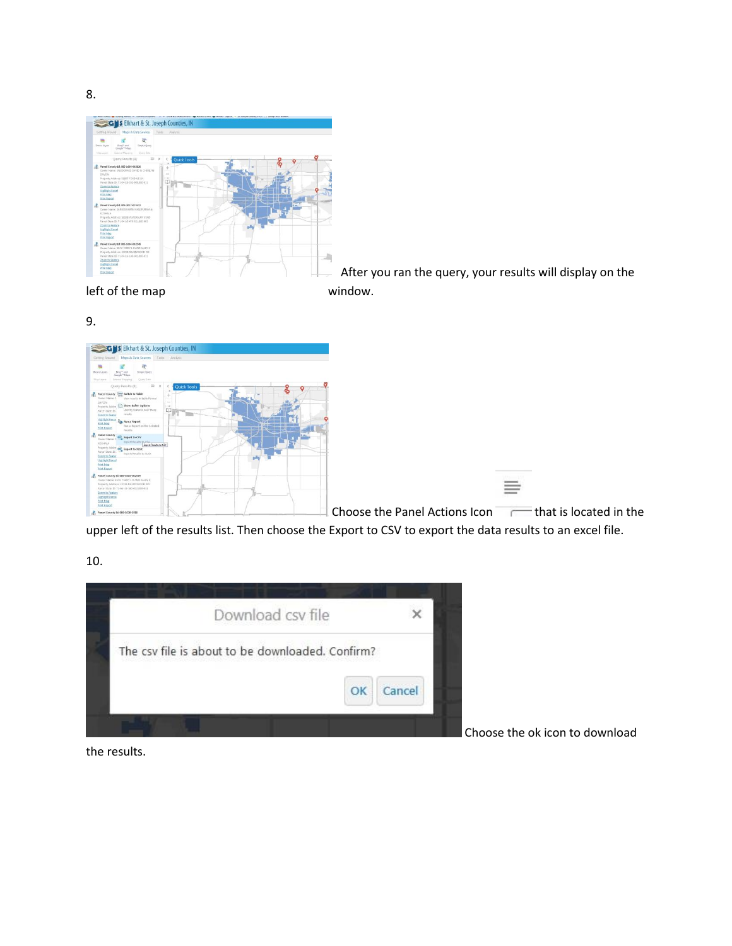

After you ran the query, your results will display on the

left of the map window.

9.



upper left of the results list. Then choose the Export to CSV to export the data results to an excel file.

10.



Choose the ok icon to download

the results.